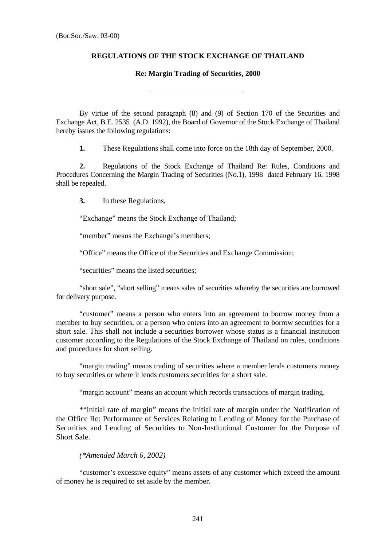## **REGULATIONS OF THE STOCK EXCHANGE OF THAILAND**

## **Re: Margin Trading of Securities, 2000**

By virtue of the second paragraph (8) and (9) of Section 170 of the Securities and Exchange Act, B.E. 2535 (A.D. 1992), the Board of Governor of the Stock Exchange of Thailand hereby issues the following regulations:

**1.** These Regulations shall come into force on the 18th day of September, 2000.

**2.** Regulations of the Stock Exchange of Thailand Re: Rules, Conditions and Procedures Concerning the Margin Trading of Securities (No.1), 1998 dated February 16, 1998 shall be repealed.

**3.** In these Regulations,

"Exchange" means the Stock Exchange of Thailand;

l

"member" means the Exchange's members;

"Office" means the Office of the Securities and Exchange Commission;

"securities" means the listed securities;

"short sale", "short selling" means sales of securities whereby the securities are borrowed for delivery purpose.

"customer" means a person who enters into an agreement to borrow money from a member to buy securities, or a person who enters into an agreement to borrow securities for a short sale. This shall not include a securities borrower whose status is a financial institution customer according to the Regulations of the Stock Exchange of Thailand on rules, conditions and procedures for short selling.

"margin trading" means trading of securities where a member lends customers money to buy securities or where it lends customers securities for a short sale.

"margin account" means an account which records transactions of margin trading.

\*"initial rate of margin" means the initial rate of margin under the Notification of the Office Re: Performance of Services Relating to Lending of Money for the Purchase of Securities and Lending of Securities to Non-Institutional Customer for the Purpose of Short Sale.

## *(\*Amended March 6, 2002)*

"customer's excessive equity" means assets of any customer which exceed the amount of money he is required to set aside by the member.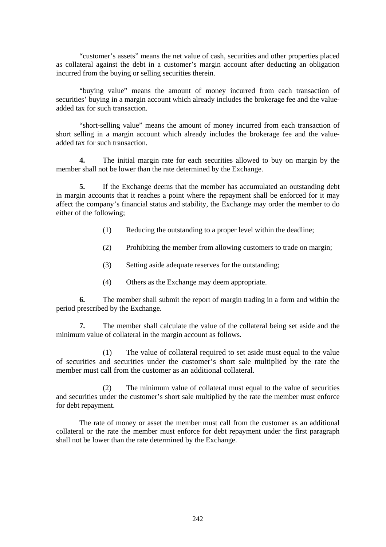"customer's assets" means the net value of cash, securities and other properties placed as collateral against the debt in a customer's margin account after deducting an obligation incurred from the buying or selling securities therein.

"buying value" means the amount of money incurred from each transaction of securities' buying in a margin account which already includes the brokerage fee and the valueadded tax for such transaction.

"short-selling value" means the amount of money incurred from each transaction of short selling in a margin account which already includes the brokerage fee and the valueadded tax for such transaction.

**4.** The initial margin rate for each securities allowed to buy on margin by the member shall not be lower than the rate determined by the Exchange.

**5.** If the Exchange deems that the member has accumulated an outstanding debt in margin accounts that it reaches a point where the repayment shall be enforced for it may affect the company's financial status and stability, the Exchange may order the member to do either of the following;

- (1) Reducing the outstanding to a proper level within the deadline;
- (2) Prohibiting the member from allowing customers to trade on margin;
- (3) Setting aside adequate reserves for the outstanding;
- (4) Others as the Exchange may deem appropriate.

**6.** The member shall submit the report of margin trading in a form and within the period prescribed by the Exchange.

**7.** The member shall calculate the value of the collateral being set aside and the minimum value of collateral in the margin account as follows.

 (1) The value of collateral required to set aside must equal to the value of securities and securities under the customer's short sale multiplied by the rate the member must call from the customer as an additional collateral.

(2) The minimum value of collateral must equal to the value of securities and securities under the customer's short sale multiplied by the rate the member must enforce for debt repayment.

The rate of money or asset the member must call from the customer as an additional collateral or the rate the member must enforce for debt repayment under the first paragraph shall not be lower than the rate determined by the Exchange.